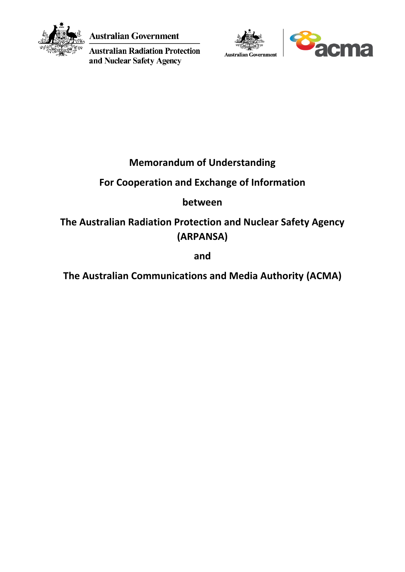

**Australian Government** 

**Australian Radiation Protection** and Nuclear Safety Agency





# **Memorandum of Understanding**

# **For Cooperation and Exchange of Information**

# **between**

# **The Australian Radiation Protection and Nuclear Safety Agency (ARPANSA)**

**and**

# **The Australian Communications and Media Authority (ACMA)**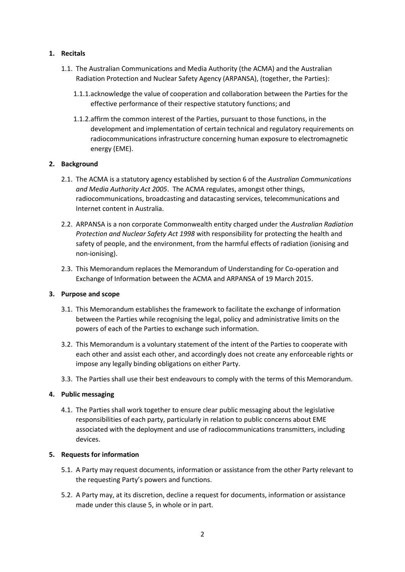### **1. Recitals**

- 1.1. The Australian Communications and Media Authority (the ACMA) and the Australian Radiation Protection and Nuclear Safety Agency (ARPANSA), (together, the Parties):
	- 1.1.1.acknowledge the value of cooperation and collaboration between the Parties for the effective performance of their respective statutory functions; and
	- 1.1.2.affirm the common interest of the Parties, pursuant to those functions, in the development and implementation of certain technical and regulatory requirements on radiocommunications infrastructure concerning human exposure to electromagnetic energy (EME).

### **2. Background**

- 2.1. The ACMA is a statutory agency established by section 6 of the *Australian Communications and Media Authority Act 2005*. The ACMA regulates, amongst other things, radiocommunications, broadcasting and datacasting services, telecommunications and Internet content in Australia.
- 2.2. ARPANSA is a non corporate Commonwealth entity charged under the *Australian Radiation Protection and Nuclear Safety Act 1998* with responsibility for protecting the health and safety of people, and the environment, from the harmful effects of radiation (ionising and non-ionising).
- 2.3. This Memorandum replaces the Memorandum of Understanding for Co-operation and Exchange of Information between the ACMA and ARPANSA of 19 March 2015.

# **3. Purpose and scope**

- 3.1. This Memorandum establishes the framework to facilitate the exchange of information between the Parties while recognising the legal, policy and administrative limits on the powers of each of the Parties to exchange such information.
- 3.2. This Memorandum is a voluntary statement of the intent of the Parties to cooperate with each other and assist each other, and accordingly does not create any enforceable rights or impose any legally binding obligations on either Party.
- 3.3. The Parties shall use their best endeavours to comply with the terms of this Memorandum.

# **4. Public messaging**

4.1. The Parties shall work together to ensure clear public messaging about the legislative responsibilities of each party, particularly in relation to public concerns about EME associated with the deployment and use of radiocommunications transmitters, including devices.

#### **5. Requests for information**

- 5.1. A Party may request documents, information or assistance from the other Party relevant to the requesting Party's powers and functions.
- 5.2. A Party may, at its discretion, decline a request for documents, information or assistance made under this clause 5, in whole or in part.